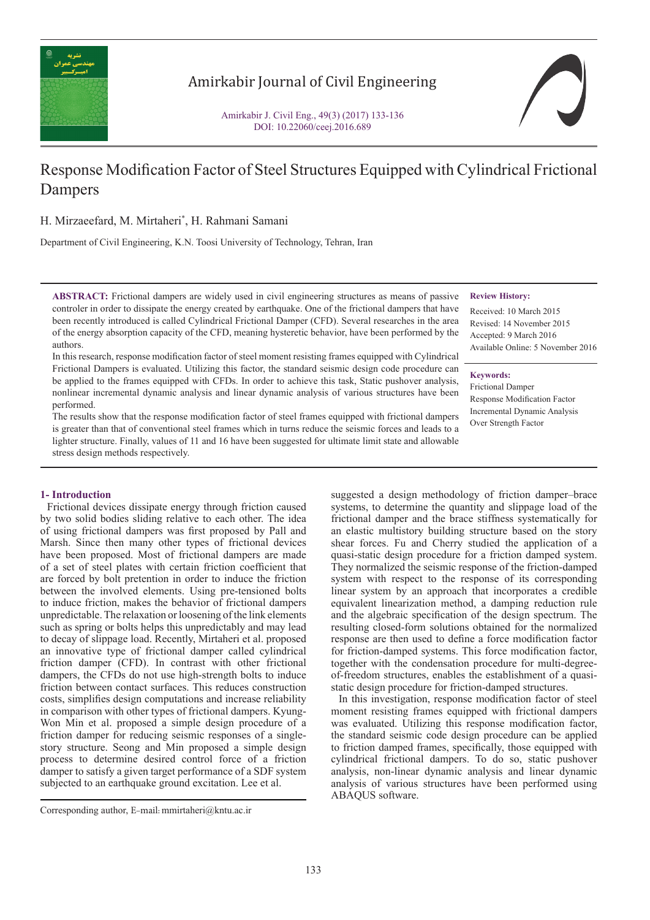

# Amirkabir Journal of Civil Engineering

Amirkabir J. Civil Eng., 49(3) (2017) 133-136 DOI: 10.22060/ceej.2016.689

# Response Modification Factor of Steel Structures Equipped with Cylindrical Frictional Dampers

H. Mirzaeefard, M. Mirtaheri\* , H. Rahmani Samani

Department of Civil Engineering, K.N. Toosi University of Technology, Tehran, Iran

**ABSTRACT:** Frictional dampers are widely used in civil engineering structures as means of passive controler in order to dissipate the energy created by earthquake. One of the frictional dampers that have been recently introduced is called Cylindrical Frictional Damper (CFD). Several researches in the area of the energy absorption capacity of the CFD, meaning hysteretic behavior, have been performed by the authors.

## **Review History:**

Received: 10 March 2015 Revised: 14 November 2015 Accepted: 9 March 2016 Available Online: 5 November 2016

## **Keywords:**

Frictional Damper Response Modification Factor Incremental Dynamic Analysis Over Strength Factor

In this research, response modification factor of steel moment resisting frames equipped with Cylindrical Frictional Dampers is evaluated. Utilizing this factor, the standard seismic design code procedure can be applied to the frames equipped with CFDs. In order to achieve this task, Static pushover analysis, nonlinear incremental dynamic analysis and linear dynamic analysis of various structures have been performed.

The results show that the response modification factor of steel frames equipped with frictional dampers is greater than that of conventional steel frames which in turns reduce the seismic forces and leads to a lighter structure. Finally, values of 11 and 16 have been suggested for ultimate limit state and allowable stress design methods respectively.

# **1- Introduction**

 Frictional devices dissipate energy through friction caused by two solid bodies sliding relative to each other. The idea of using frictional dampers was first proposed by Pall and Marsh. Since then many other types of frictional devices have been proposed. Most of frictional dampers are made of a set of steel plates with certain friction coefficient that are forced by bolt pretention in order to induce the friction between the involved elements. Using pre-tensioned bolts to induce friction, makes the behavior of frictional dampers unpredictable. The relaxation or loosening of the link elements such as spring or bolts helps this unpredictably and may lead to decay of slippage load. Recently, Mirtaheri et al. proposed an innovative type of frictional damper called cylindrical friction damper (CFD). In contrast with other frictional dampers, the CFDs do not use high-strength bolts to induce friction between contact surfaces. This reduces construction costs, simplifies design computations and increase reliability in comparison with other types of frictional dampers. Kyung-Won Min et al. proposed a simple design procedure of a friction damper for reducing seismic responses of a singlestory structure. Seong and Min proposed a simple design process to determine desired control force of a friction damper to satisfy a given target performance of a SDF system subjected to an earthquake ground excitation. Lee et al.

suggested a design methodology of friction damper–brace systems, to determine the quantity and slippage load of the frictional damper and the brace stiffness systematically for an elastic multistory building structure based on the story shear forces. Fu and Cherry studied the application of a quasi-static design procedure for a friction damped system. They normalized the seismic response of the friction-damped system with respect to the response of its corresponding linear system by an approach that incorporates a credible equivalent linearization method, a damping reduction rule and the algebraic specification of the design spectrum. The resulting closed-form solutions obtained for the normalized response are then used to define a force modification factor for friction-damped systems. This force modification factor, together with the condensation procedure for multi-degreeof-freedom structures, enables the establishment of a quasistatic design procedure for friction-damped structures.

 In this investigation, response modification factor of steel moment resisting frames equipped with frictional dampers was evaluated. Utilizing this response modification factor, the standard seismic code design procedure can be applied to friction damped frames, specifically, those equipped with cylindrical frictional dampers. To do so, static pushover analysis, non-linear dynamic analysis and linear dynamic analysis of various structures have been performed using ABAQUS software.

Corresponding author, E-mail: mmirtaheri@kntu.ac.ir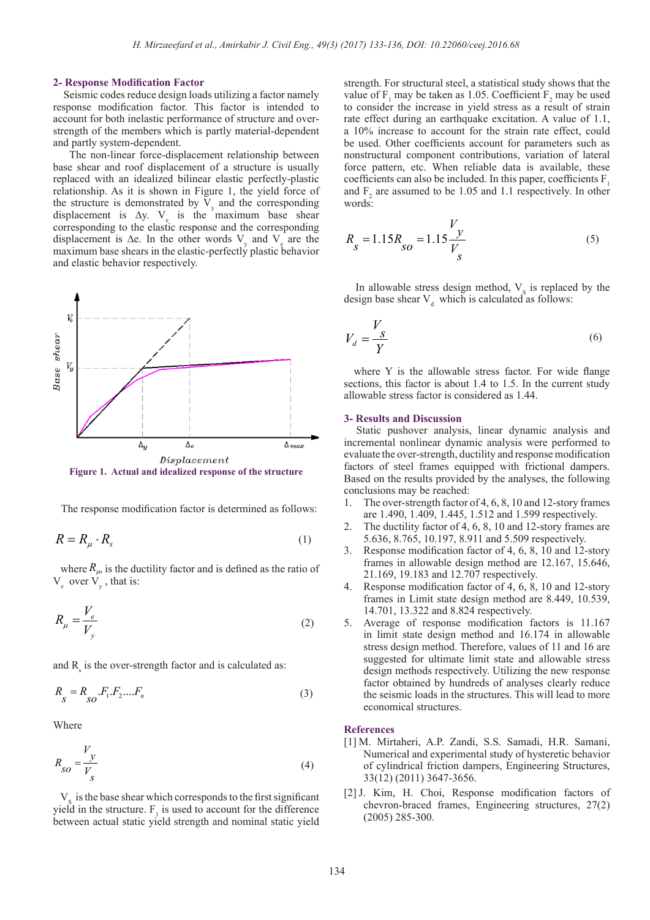### **2- Response Modification Factor**

 Seismic codes reduce design loads utilizing a factor namely response modification factor. This factor is intended to account for both inelastic performance of structure and overstrength of the members which is partly material-dependent and partly system-dependent.

 The non-linear force-displacement relationship between base shear and roof displacement of a structure is usually replaced with an idealized bilinear elastic perfectly-plastic relationship. As it is shown in Figure 1, the yield force of the structure is demonstrated by  $V_y$  and the corresponding displacement is  $\Delta y$ . V<sub>e</sub> is the maximum base shear corresponding to the elastic response and the corresponding displacement is  $\Delta$ e. In the other words V<sub>y</sub> and V<sub>e</sub> are the maximum base shears in the elastic-perfectly plastic behavior and elastic behavior respectively.



**Figure 1. Actual and idealized response of the structure**

The response modification factor is determined as follows:

$$
R = R_{\mu} \cdot R_{s} \tag{1}
$$

where  $R_{\mu}$ , is the ductility factor and is defined as the ratio of  $V_e$  over  $V_y$ , that is:

$$
R_{\mu} = \frac{V_e}{V_y} \tag{2}
$$

and  $R_s$  is the over-strength factor and is calculated as:

$$
R_{S} = R_{SO} . F_{1} . F_{2} . . . . F_{n}
$$
 (3)

Where

$$
R_{SO} = \frac{V_y}{V_s} \tag{4}
$$

 $V<sub>S</sub>$  is the base shear which corresponds to the first significant yield in the structure.  $F_1$  is used to account for the difference between actual static yield strength and nominal static yield

strength. For structural steel, a statistical study shows that the value of  $F_1$  may be taken as 1.05. Coefficient  $F_2$  may be used to consider the increase in yield stress as a result of strain rate effect during an earthquake excitation. A value of 1.1, a 10% increase to account for the strain rate effect, could be used. Other coefficients account for parameters such as nonstructural component contributions, variation of lateral force pattern, etc. When reliable data is available, these coefficients can also be included. In this paper, coefficients F<sub>1</sub> and  $F_2$  are assumed to be 1.05 and 1.1 respectively. In other words:

$$
R_{S} = 1.15R_{SO} = 1.15\frac{V_y}{V_s}
$$
 (5)

In allowable stress design method,  $V<sub>S</sub>$  is replaced by the design base shear  $V_d$  which is calculated as follows:

$$
V_d = \frac{V_s}{Y}
$$
 (6)

 where Y is the allowable stress factor. For wide flange sections, this factor is about 1.4 to 1.5. In the current study allowable stress factor is considered as 1.44.

#### **3- Results and Discussion**

 Static pushover analysis, linear dynamic analysis and incremental nonlinear dynamic analysis were performed to evaluate the over-strength, ductility and response modification factors of steel frames equipped with frictional dampers. Based on the results provided by the analyses, the following conclusions may be reached:

- 1. The over-strength factor of 4, 6, 8, 10 and 12-story frames are 1.490, 1.409, 1.445, 1.512 and 1.599 respectively.
- 2. The ductility factor of 4, 6, 8, 10 and 12-story frames are 5.636, 8.765, 10.197, 8.911 and 5.509 respectively.
- 3. Response modification factor of 4, 6, 8, 10 and 12-story frames in allowable design method are 12.167, 15.646, 21.169, 19.183 and 12.707 respectively.
- 4. Response modification factor of 4, 6, 8, 10 and 12-story frames in Limit state design method are 8.449, 10.539, 14.701, 13.322 and 8.824 respectively.
- 5. Average of response modification factors is 11.167 in limit state design method and 16.174 in allowable stress design method. Therefore, values of 11 and 16 are suggested for ultimate limit state and allowable stress design methods respectively. Utilizing the new response factor obtained by hundreds of analyses clearly reduce the seismic loads in the structures. This will lead to more economical structures.

### **References**

- [1] M. Mirtaheri, A.P. Zandi, S.S. Samadi, H.R. Samani, Numerical and experimental study of hysteretic behavior of cylindrical friction dampers, Engineering Structures, 33(12) (2011) 3647-3656.
- [2] J. Kim, H. Choi, Response modification factors of chevron-braced frames, Engineering structures, 27(2) (2005) 285-300.